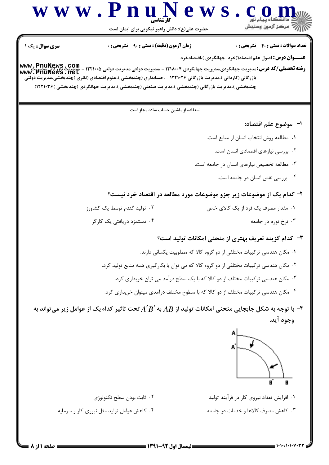

۰۳ کاهش مصرف کالاها و خدمات در جامعه

۰۴ کاهش عوامل تولید مثل نیروی کار و سرمایه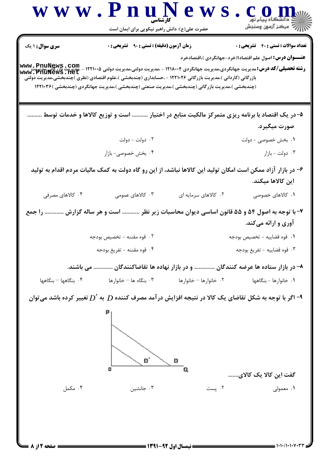- نیمسال اول ۹۲-**۱۳۹۱** -

= صفحه 2 از ۸ گ

 $= 1.1 - 11.1 - 11.177$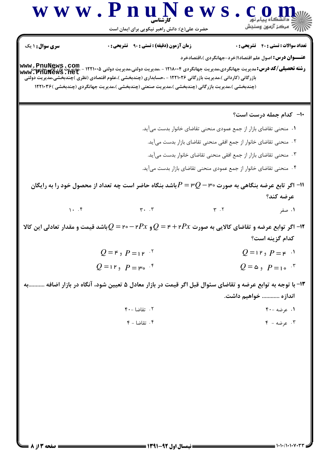N

Ð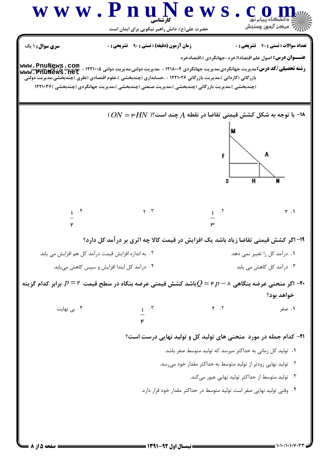**= نیمسال اول 92-1391 <del>======</del>** 

= صفحه ۱۵ز ۸ ک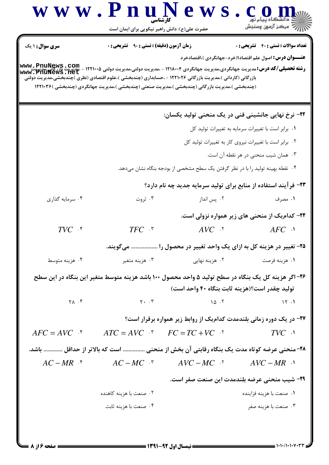|                                | حضرت علی(ع): دانش راهبر نیکویی برای ایمان است      |                                                                                                                                                                                                                                                                                                                                                                               | د دانشڪاه پيام نور<br>∥∕* مرکز آزمون وسنڊش                     |
|--------------------------------|----------------------------------------------------|-------------------------------------------------------------------------------------------------------------------------------------------------------------------------------------------------------------------------------------------------------------------------------------------------------------------------------------------------------------------------------|----------------------------------------------------------------|
| سری سوال : ۱ یک                | <b>زمان آزمون (دقیقه) : تستی : 90 ٪ تشریحی : 0</b> |                                                                                                                                                                                                                                                                                                                                                                               | <b>تعداد سوالات : تستی : 40 ٪ تشریحی : 0</b>                   |
|                                |                                                    |                                                                                                                                                                                                                                                                                                                                                                               | <b>عنـــوان درس:</b> اصول علم اقتصاد۱(خرد-جهانگردی )،اقتصادخرد |
|                                |                                                    | <b>رشته تحصیلی/کد درس: مدیریت جهانگردی،مدیریت جهانگردی ۱۲۱۸۰۰۴ - ،مدیریت دولتی،مدیریت دولتی ۱۲۲۱۰۰۵ - ،مدیریت بازرگانی،مدیریت<br/>Www . PhuNews . net</b><br>بازرگانی (کاردانی )،مدیریت بازرگانی ۱۲۲۱۰۲۶ - ،حسابداری (چندبخشی )،علوم اقتصادی (نظری )چندبخشی،مدیریت دولتی                                                                                                      |                                                                |
|                                |                                                    | (چندبخشی )،مدیریت بازرگانی (چندبخشی )،مدیریت صنعتی (چندبخشی )،مدیریت جهانگردی (چندبخشی )۱۲۲۱۰۳۶                                                                                                                                                                                                                                                                               |                                                                |
|                                |                                                    |                                                                                                                                                                                                                                                                                                                                                                               |                                                                |
|                                |                                                    | <b>۲۲- نرخ نهایی جانشینی فنی در یک منحنی تولید یکسان:</b>                                                                                                                                                                                                                                                                                                                     |                                                                |
|                                |                                                    |                                                                                                                                                                                                                                                                                                                                                                               | ٠١. برابر است با تغييرات سرمايه به تغييرات توليد كل            |
|                                |                                                    |                                                                                                                                                                                                                                                                                                                                                                               | ۰۲ برابر است با تغییرات نیروی کار به تغییرات تولید کل          |
|                                |                                                    |                                                                                                                                                                                                                                                                                                                                                                               | ۰۳ همان شیب منحنی در هر نقطه آن است.                           |
|                                |                                                    | ۰۴ نقطه بهینه تولید را با در نظر گرفتن یک سطح مشخصی از بودجه بنگاه نشان میدهد.                                                                                                                                                                                                                                                                                                |                                                                |
|                                |                                                    | ۲۳- فرآیند استفاده از منابع برای تولید سرمایه جدید چه نام دارد؟                                                                                                                                                                                                                                                                                                               |                                                                |
| ۰۴ سرمایه گذاری                | ۰۳ ژروت                                            | ۰۲ پس انداز                                                                                                                                                                                                                                                                                                                                                                   | ۰۱ مصرف                                                        |
|                                |                                                    |                                                                                                                                                                                                                                                                                                                                                                               | ۲۴- کدامیک از منحنی های زیر همواره نزولی است.                  |
| $TVC$ $.$ <sup>*</sup>         | $TFC$ .                                            | $AVC$ . $\lq$                                                                                                                                                                                                                                                                                                                                                                 | $AFC$ ·                                                        |
|                                |                                                    | ۲۵– تغییر در هزینه کل به ازای یک واحد تغییر در محصول را  میگویند.                                                                                                                                                                                                                                                                                                             |                                                                |
| ۰۴ هزینه متوسط                 |                                                    |                                                                                                                                                                                                                                                                                                                                                                               |                                                                |
|                                |                                                    | ۲۶– اگر هزینه کل یک بنگاه در سطح تولید ۵ واحد محصول ۱۰۰ باشد هزینه متوسط متغیر این بنگاه در این سطح                                                                                                                                                                                                                                                                           |                                                                |
|                                |                                                    | توليد چقدر است؟(هزينه ثابت بنگاه ۴۰ واحد است)                                                                                                                                                                                                                                                                                                                                 |                                                                |
| $\uparrow \wedge$ . $\uparrow$ |                                                    | $Y \cdot T$ $\qquad \qquad \qquad$ $\qquad \qquad$ $\qquad \qquad$ $\qquad \qquad$ $\qquad \qquad$ $\qquad \qquad$ $\qquad \qquad$ $\qquad \qquad$ $\qquad \qquad$ $\qquad \qquad$ $\qquad$ $\qquad \qquad$ $\qquad$ $\qquad$ $\qquad$ $\qquad$ $\qquad$ $\qquad$ $\qquad$ $\qquad$ $\qquad$ $\qquad$ $\qquad$ $\qquad$ $\qquad$ $\qquad$ $\qquad$ $\qquad$ $\qquad$ $\qquad$ | $\mathcal{N}$ .                                                |
|                                |                                                    | ۲۷- در یک دوره زمانی بلندمدت کدامیک از روابط زیر همواره برقرار است؟                                                                                                                                                                                                                                                                                                           |                                                                |
| $AFC = AVC$ f                  | $ATC = AVC$ $\cdot$ $FC = TC + VC$ $\cdot$         |                                                                                                                                                                                                                                                                                                                                                                               | $TVC$ $\cdot$                                                  |
|                                |                                                    | ۲۸-منحنی عرضه کوتاه مدت یک بنگاه رقابتی آن بخش از منحنی  است که بالاتر از حداقل  باشد.                                                                                                                                                                                                                                                                                        |                                                                |
|                                |                                                    | $AC-MR$ * $AC-MC$ * $AVC-MC$ * $AVC-MR$ *                                                                                                                                                                                                                                                                                                                                     |                                                                |
|                                |                                                    |                                                                                                                                                                                                                                                                                                                                                                               |                                                                |
|                                |                                                    | ۲۹- شیب منحنی عرضه بلندمدت این صنعت صفر است.                                                                                                                                                                                                                                                                                                                                  |                                                                |
|                                | ۰۲ صنعت با هزینه کاهنده                            |                                                                                                                                                                                                                                                                                                                                                                               | ۰۱ صنعت با هزينه فزاينده                                       |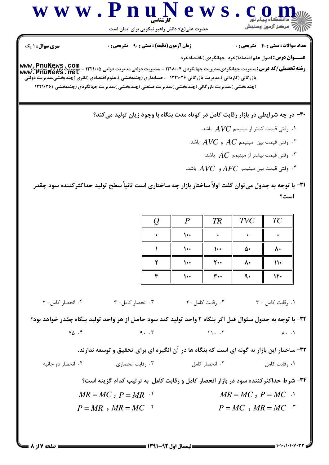

**۳۰**- در چه شرایطی در بازار رقابت کامل در کوتاه مدت بنگاه با وجود زیان تولید میکند؟

- ۰۱ وقتی قیمت کمتر از مینیمم  $\boldsymbol{A}\boldsymbol{V} \boldsymbol{C}$  باشد.  $\cdot$
- ۰۲ وقتی قیمت بین مینیمم  $AC$  و  $\overline{AVC}$  باشد.  $^{\mathsf{T}}$ 
	- ۰۳ وقتی قیمت بیشتر از مینیمم  $AC$  باشد.  $^\star$
- ۰۴ وقتی قیمت بین مینیمم  $AFC$  و $\bar{A}$  باشد.  $^*$

٣١- با توجه به جدول مي توان گفت اولاً ساختار بازار چه ساختاري است ثانياً سطح توليد حداكثر كننده سود چقدر است؟

| ( ) | D | <b>TR</b> | <b>TVC</b> | TC  |
|-----|---|-----------|------------|-----|
|     |   |           |            |     |
|     |   |           | Δ٠         |     |
|     |   | 200       | ۸۰         | ۱۱۰ |
|     |   | ۳.۰       |            |     |

۰۳ انحصار کامل- ۳ ۰۲ , قابت کامل -۲ ٠١. رقابت كامل - ٣ ۰۴ انحصار کامل- ۲

٣٢- با توجه به جدول سئوال قبل اگر بنگاه ٢ واحد توليد كند سود حاصل از هر واحد توليد بنگاه چقدر خواهد بود؟  $9.7$  $Y_{\Delta}$ . $Y$  $11 \cdot 5$  $\lambda \cdot \lambda$ 

۳۳– ساختار این بازار به گونه ای است که بنگاه ها در آن انگیزه ای برای تحقیق و توسعه ندارند.

۰۴ انحصار دو جانبه ۰۳ وقابت انحصاری . ۰۲ انحصار کامل ۰۱ , قابت کامل

۳۴- شرط حداکثر کننده سود در بازار انحصار کامل و رقابت کامل به ترتیب کدام گزینه است؟

 $MR = MC$ ,  $P = MC$ .  $MR = MC$ ,  $P = MR$  '  $P = MC$ ,  $MR = MC$ .  $P = MR$ ,  $MR = MC$ .

**صفحه 7 از 8** =

 $= 1.1111111111$